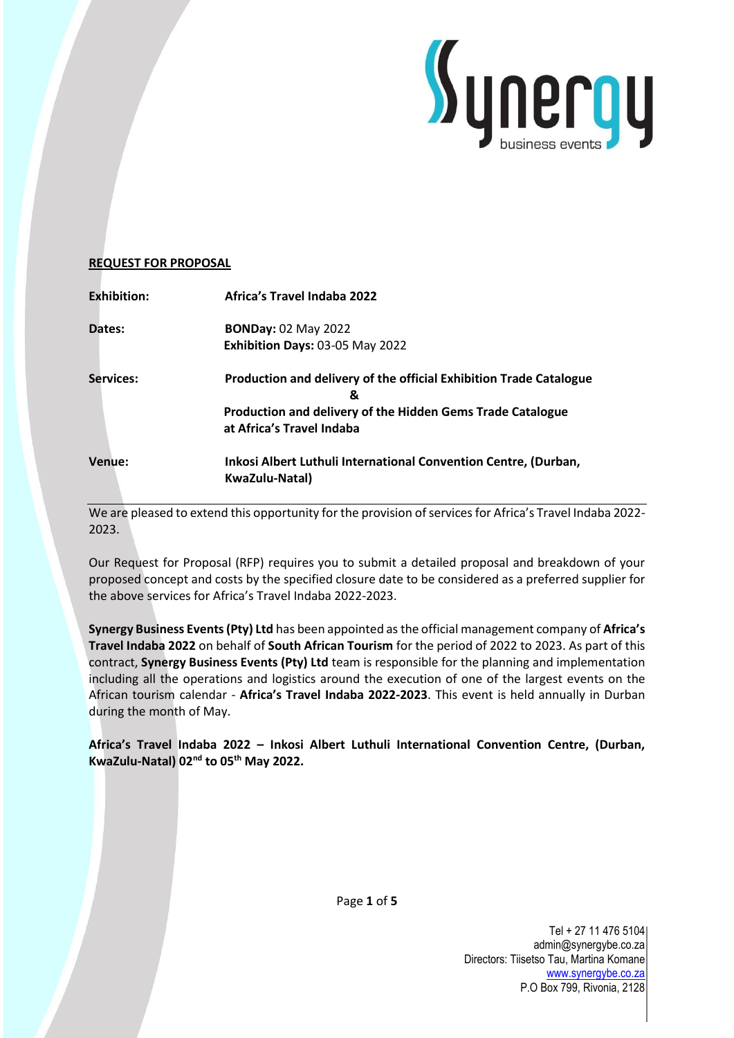

# **REQUEST FOR PROPOSAL**

| <b>Exhibition:</b> | <b>Africa's Travel Indaba 2022</b>                                                      |
|--------------------|-----------------------------------------------------------------------------------------|
| Dates:             | <b>BONDay: 02 May 2022</b>                                                              |
|                    | Exhibition Days: 03-05 May 2022                                                         |
| <b>Services:</b>   | Production and delivery of the official Exhibition Trade Catalogue<br>&                 |
|                    | Production and delivery of the Hidden Gems Trade Catalogue<br>at Africa's Travel Indaba |
| <b>Venue:</b>      | Inkosi Albert Luthuli International Convention Centre, (Durban,<br>KwaZulu-Natal)       |

We are pleased to extend this opportunity for the provision of services for Africa's Travel Indaba 2022- 2023.

Our Request for Proposal (RFP) requires you to submit a detailed proposal and breakdown of your proposed concept and costs by the specified closure date to be considered as a preferred supplier for the above services for Africa's Travel Indaba 2022-2023.

**Synergy Business Events (Pty) Ltd** has been appointed as the official management company of **Africa's Travel Indaba 2022** on behalf of **South African Tourism** for the period of 2022 to 2023. As part of this contract, **Synergy Business Events (Pty) Ltd** team is responsible for the planning and implementation including all the operations and logistics around the execution of one of the largest events on the African tourism calendar - **Africa's Travel Indaba 2022-2023**. This event is held annually in Durban during the month of May.

**Africa's Travel Indaba 2022 – Inkosi Albert Luthuli International Convention Centre, (Durban, KwaZulu-Natal) 02nd to 05th May 2022.**

Page **1** of **5**

Tel + 27 11 476 5104 admin@synergybe.co.za Directors: Tiisetso Tau, Martina Komane [www.synergybe.co.za](http://www.synergybe.co.za/) P.O Box 799, Rivonia, 2128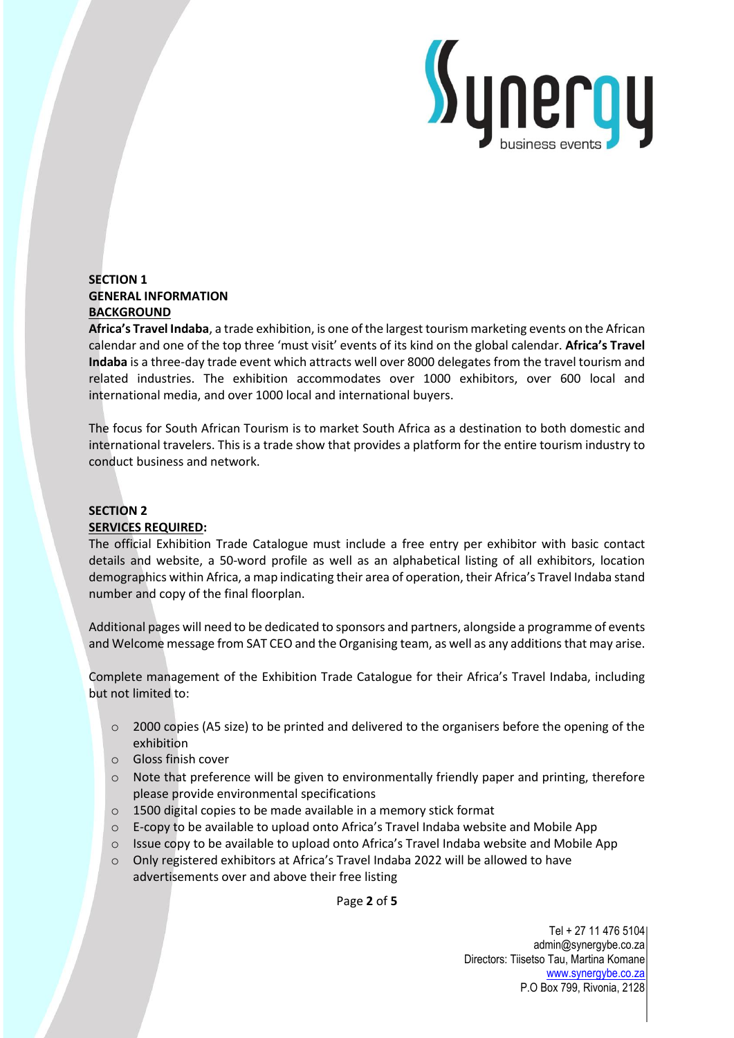

# **SECTION 1 GENERAL INFORMATION BACKGROUND**

**Africa's Travel Indaba**, a trade exhibition, is one of the largest tourism marketing events on the African calendar and one of the top three 'must visit' events of its kind on the global calendar. **Africa's Travel Indaba** is a three-day trade event which attracts well over 8000 delegates from the travel tourism and related industries. The exhibition accommodates over 1000 exhibitors, over 600 local and international media, and over 1000 local and international buyers.

The focus for South African Tourism is to market South Africa as a destination to both domestic and international travelers. This is a trade show that provides a platform for the entire tourism industry to conduct business and network.

# **SECTION 2 SERVICES REQUIRED:**

The official Exhibition Trade Catalogue must include a free entry per exhibitor with basic contact details and website, a 50-word profile as well as an alphabetical listing of all exhibitors, location demographics within Africa, a map indicating their area of operation, their Africa's Travel Indaba stand number and copy of the final floorplan.

Additional pages will need to be dedicated to sponsors and partners, alongside a programme of events and Welcome message from SAT CEO and the Organising team, as well as any additions that may arise.

Complete management of the Exhibition Trade Catalogue for their Africa's Travel Indaba, including but not limited to:

- o 2000 copies (A5 size) to be printed and delivered to the organisers before the opening of the exhibition
- o Gloss finish cover
- $\circ$  Note that preference will be given to environmentally friendly paper and printing, therefore please provide environmental specifications
- o 1500 digital copies to be made available in a memory stick format
- o E-copy to be available to upload onto Africa's Travel Indaba website and Mobile App
- $\circ$  Issue copy to be available to upload onto Africa's Travel Indaba website and Mobile App
- o Only registered exhibitors at Africa's Travel Indaba 2022 will be allowed to have advertisements over and above their free listing

Page **2** of **5**

Tel + 27 11 476 5104 admin@synergybe.co.za Directors: Tiisetso Tau, Martina Komane [www.synergybe.co.za](http://www.synergybe.co.za/) P.O Box 799, Rivonia, 2128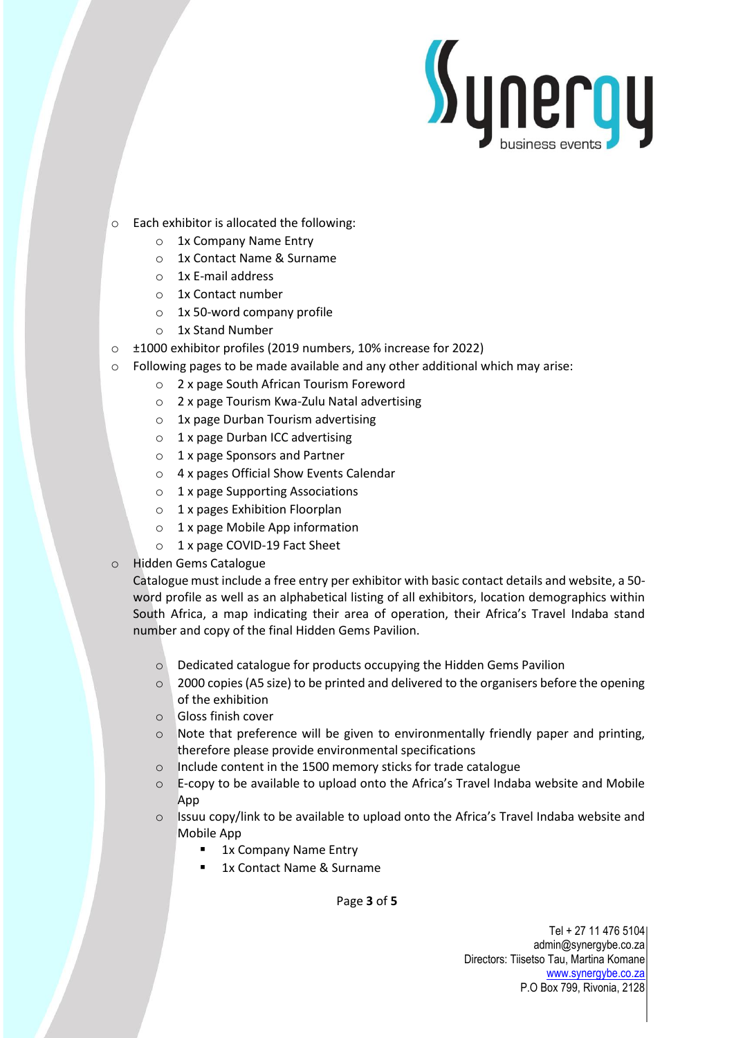

- o Each exhibitor is allocated the following:
	- o 1x Company Name Entry
	- o 1x Contact Name & Surname
	- o 1x E-mail address
	- o 1x Contact number
	- o 1x 50-word company profile
	- o 1x Stand Number
- o ±1000 exhibitor profiles (2019 numbers, 10% increase for 2022)
- o Following pages to be made available and any other additional which may arise:
	- o 2 x page South African Tourism Foreword
	- o 2 x page Tourism Kwa-Zulu Natal advertising
	- o 1x page Durban Tourism advertising
	- o 1 x page Durban ICC advertising
	- o 1 x page Sponsors and Partner
	- o 4 x pages Official Show Events Calendar
	- $\circ$  1 x page Supporting Associations
	- o 1 x pages Exhibition Floorplan
	- o 1 x page Mobile App information
	- o 1 x page COVID-19 Fact Sheet
- **Hidden Gems Catalogue**

Catalogue must include a free entry per exhibitor with basic contact details and website, a 50 word profile as well as an alphabetical listing of all exhibitors, location demographics within South Africa, a map indicating their area of operation, their Africa's Travel Indaba stand number and copy of the final Hidden Gems Pavilion.

- o Dedicated catalogue for products occupying the Hidden Gems Pavilion
- $\circ$  2000 copies (A5 size) to be printed and delivered to the organisers before the opening of the exhibition
- o Gloss finish cover
- o Note that preference will be given to environmentally friendly paper and printing, therefore please provide environmental specifications
- o Include content in the 1500 memory sticks for trade catalogue
- o E-copy to be available to upload onto the Africa's Travel Indaba website and Mobile App
- o Issuu copy/link to be available to upload onto the Africa's Travel Indaba website and Mobile App
	- 1x Company Name Entry
	- 1x Contact Name & Surname

Page **3** of **5**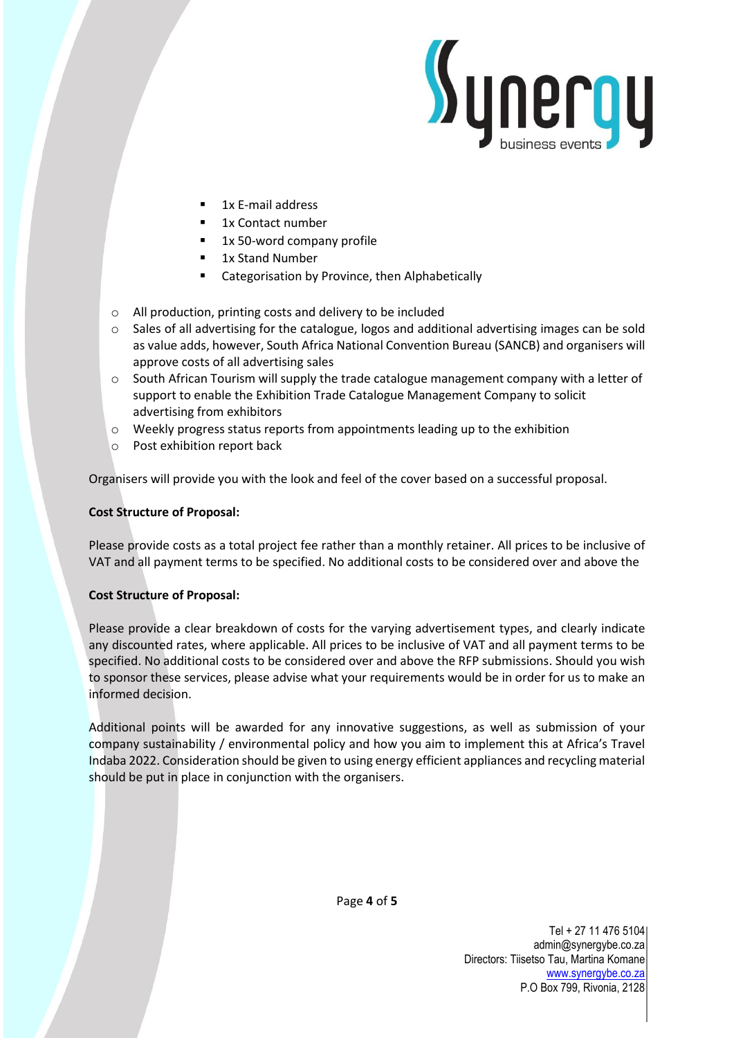

- 1x E-mail address
- 1x Contact number
- 1x 50-word company profile
- 1x Stand Number
- Categorisation by Province, then Alphabetically
- o All production, printing costs and delivery to be included
- o Sales of all advertising for the catalogue, logos and additional advertising images can be sold as value adds, however, South Africa National Convention Bureau (SANCB) and organisers will approve costs of all advertising sales
- o South African Tourism will supply the trade catalogue management company with a letter of support to enable the Exhibition Trade Catalogue Management Company to solicit advertising from exhibitors
- $\circ$  Weekly progress status reports from appointments leading up to the exhibition
- o Post exhibition report back

Organisers will provide you with the look and feel of the cover based on a successful proposal.

# **Cost Structure of Proposal:**

Please provide costs as a total project fee rather than a monthly retainer. All prices to be inclusive of VAT and all payment terms to be specified. No additional costs to be considered over and above the

#### **Cost Structure of Proposal:**

Please provide a clear breakdown of costs for the varying advertisement types, and clearly indicate any discounted rates, where applicable. All prices to be inclusive of VAT and all payment terms to be specified. No additional costs to be considered over and above the RFP submissions. Should you wish to sponsor these services, please advise what your requirements would be in order for us to make an informed decision.

Additional points will be awarded for any innovative suggestions, as well as submission of your company sustainability / environmental policy and how you aim to implement this at Africa's Travel Indaba 2022. Consideration should be given to using energy efficient appliances and recycling material should be put in place in conjunction with the organisers.



Tel + 27 11 476 5104 admin@synergybe.co.za Directors: Tiisetso Tau, Martina Komane [www.synergybe.co.za](http://www.synergybe.co.za/) P.O Box 799, Rivonia, 2128